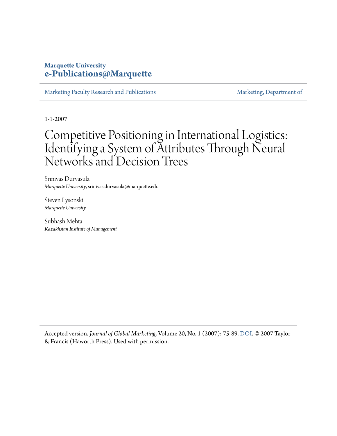## **Marquette University [e-Publications@Marquette](https://epublications.marquette.edu)**

[Marketing Faculty Research and Publications](https://epublications.marquette.edu/market_fac) [Marketing, Department of](https://epublications.marquette.edu/market)

1-1-2007

# Competitive Positioning in International Logistics: Identifying a System of Attributes Through Neural Networks and Decision Trees

Srinivas Durvasula *Marquette University*, srinivas.durvasula@marquette.edu

Steven Lysonski *Marquette University*

Subhash Mehta *Kazakhstan Institute of Management*

Accepted version. *Journal of Global Marketing*, Volume 20, No. 1 (2007): 75-89. [DOI.](http://dx.doi.org/10.1300/J042v20n01_06) © 2007 Taylor & Francis (Haworth Press). Used with permission.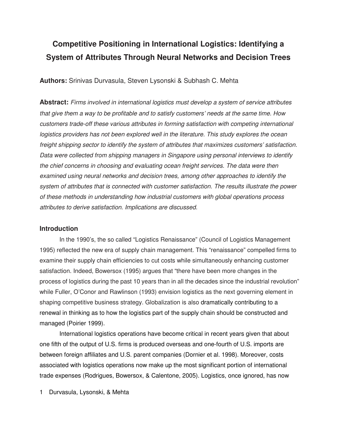## **Competitive Positioning in International Logistics: Identifying a System of Attributes Through Neural Networks and Decision Trees**

**Authors:** Srinivas Durvasula, Steven Lysonski & Subhash C. Mehta

**Abstract:** Firms involved in international logistics must develop a system of service attributes that give them a way to be profitable and to satisfy customers' needs at the same time. How customers trade-off these various attributes in forming satisfaction with competing international logistics providers has not been explored well in the literature. This study explores the ocean freight shipping sector to identify the system of attributes that maximizes customers' satisfaction. Data were collected from shipping managers in Singapore using personal interviews to identify the chief concerns in choosing and evaluating ocean freight services. The data were then examined using neural networks and decision trees, among other approaches to identify the system of attributes that is connected with customer satisfaction. The results illustrate the power of these methods in understanding how industrial customers with global operations process attributes to derive satisfaction. Implications are discussed.

## **Introduction**

In the 1990's, the so called "Logistics Renaissance" (Council of Logistics Management 1995) reflected the new era of supply chain management. This "renaissance" compelled firms to examine their supply chain efficiencies to cut costs while simultaneously enhancing customer satisfaction. Indeed, Bowersox (1995) argues that "there have been more changes in the process of logistics during the past 10 years than in all the decades since the industrial revolution" while Fuller, O'Conor and Rawlinson (1993) envision logistics as the next governing element in shaping competitive business strategy. Globalization is also dramatically contributing to a renewal in thinking as to how the logistics part of the supply chain should be constructed and managed (Poirier 1999).

International logistics operations have become critical in recent years given that about one fifth of the output of U.S. firms is produced overseas and one-fourth of U.S. imports are between foreign affiliates and U.S. parent companies (Dornier et al. 1998). Moreover, costs associated with logistics operations now make up the most significant portion of international trade expenses (Rodrigues, Bowersox, & Calentone, 2005). Logistics, once ignored, has now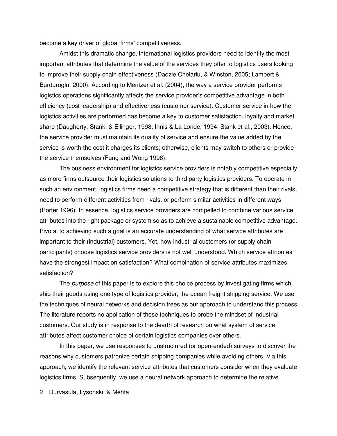become a key driver of global firms' competitiveness.

Amidst this dramatic change, international logistics providers need to identify the most important attributes that determine the value of the services they offer to logistics users looking to improve their supply chain effectiveness (Dadzie Chelariu, & Winston, 2005; Lambert & Burduroglu, 2000). According to Mentzer et al. (2004), the way a service provider performs logistics operations significantly affects the service provider's competitive advantage in both efficiency (cost leadership) and effectiveness (customer service). Customer service in how the logistics activities are performed has become a key to customer satisfaction, loyalty and market share (Daugherty, Stank, & Ellinger, 1998; Innis & La Londe, 1994; Stank et al., 2003). Hence, the service provider must maintain its quality of service and ensure the value added by the service is worth the cost it charges its clients; otherwise, clients may switch to others or provide the service themselves (Fung and Wong 1998).

The business environment for logistics service providers is notably competitive especially as more firms outsource their logistics solutions to third party logistics providers. To operate in such an environment, logistics firms need a competitive strategy that is different than their rivals, need to perform different activities from rivals, or perform similar activities in different ways (Porter 1996). In essence, logistics service providers are compelled to combine various service attributes into the right package or system so as to achieve a sustainable competitive advantage. Pivotal to achieving such a goal is an accurate understanding of what service attributes are important to their (industrial) customers. Yet, how industrial customers (or supply chain participants) choose logistics service providers is not well understood. Which service attributes have the strongest impact on satisfaction? What combination of service attributes maximizes satisfaction?

The *purpose* of this paper is to explore this choice process by investigating firms which ship their goods using one type of logistics provider, the ocean freight shipping service. We use the techniques of neural networks and decision trees as our approach to understand this process. The literature reports no application of these techniques to probe the mindset of industrial customers. Our study is in response to the dearth of research on what system of service attributes affect customer choice of certain logistics companies over others.

In this paper, we use responses to unstructured (or open-ended) surveys to discover the reasons why customers patronize certain shipping companies while avoiding others. Via this approach, we identify the relevant service attributes that customers consider when they evaluate logistics firms. Subsequently, we use a neural network approach to determine the relative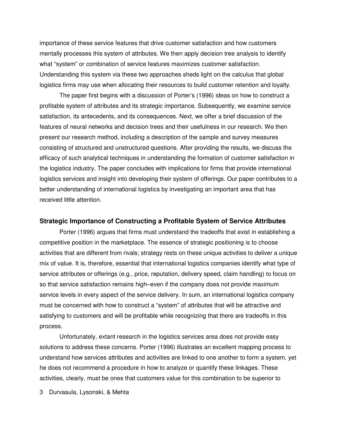importance of these service features that drive customer satisfaction and how customers mentally processes this system of attributes. We then apply decision tree analysis to identify what "system" or combination of service features maximizes customer satisfaction. Understanding this system via these two approaches sheds light on the calculus that global logistics firms may use when allocating their resources to build customer retention and loyalty.

The paper first begins with a discussion of Porter's (1996) ideas on how to construct a profitable system of attributes and its strategic importance. Subsequently, we examine service satisfaction, its antecedents, and its consequences. Next, we offer a brief discussion of the features of neural networks and decision trees and their usefulness in our research. We then present our research method, including a description of the sample and survey measures consisting of structured and unstructured questions. After providing the results, we discuss the efficacy of such analytical techniques in understanding the formation of customer satisfaction in the logistics industry. The paper concludes with implications for firms that provide international logistics services and insight into developing their system of offerings. Our paper contributes to a better understanding of international logistics by investigating an important area that has received little attention.

#### **Strategic Importance of Constructing a Profitable System of Service Attributes**

Porter (1996) argues that firms must understand the tradeoffs that exist in establishing a competitive position in the marketplace. The essence of strategic positioning is to choose activities that are different from rivals; strategy rests on these unique activities to deliver a unique mix of value. It is, therefore, essential that international logistics companies identify what type of service attributes or offerings (e.g., price, reputation, delivery speed, claim handling) to focus on so that service satisfaction remains high–even if the company does not provide maximum service levels in every aspect of the service delivery. In sum, an international logistics company must be concerned with how to construct a "system" of attributes that will be attractive and satisfying to customers and will be profitable while recognizing that there are tradeoffs in this process.

Unfortunately, extant research in the logistics services area does not provide easy solutions to address these concerns. Porter (1996) illustrates an excellent mapping process to understand how services attributes and activities are linked to one another to form a system, yet he does not recommend a procedure in how to analyze or quantify these linkages. These activities, clearly, must be ones that customers value for this combination to be superior to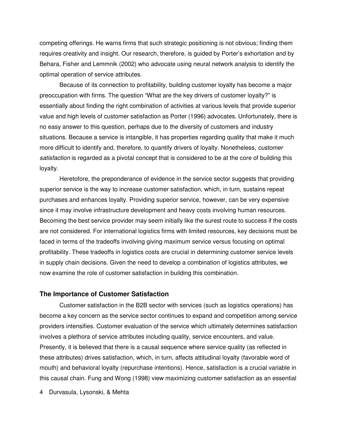competing offerings. He warns firms that such strategic positioning is not obvious; finding them requires creativity and insight. Our research, therefore, is guided by Porter's exhortation and by Behara, Fisher and Lemmnik (2002) who advocate using neural network analysis to identify the optimal operation of service attributes.

Because of its connection to profitability, building customer loyalty has become a major preoccupation with firms. The question "What are the key drivers of customer loyalty?" is essentially about finding the right combination of activities at various levels that provide superior value and high levels of customer satisfaction as Porter (1996) advocates. Unfortunately, there is no easy answer to this question, perhaps due to the diversity of customers and industry situations. Because a service is intangible, it has properties regarding quality that make it much more difficult to identify and, therefore, to quantify drivers of loyalty. Nonetheless, *customer* satisfaction is regarded as a pivotal concept that is considered to be at the core of building this loyalty.

Heretofore, the preponderance of evidence in the service sector suggests that providing superior service is the way to increase customer satisfaction, which, in turn, sustains repeat purchases and enhances loyalty. Providing superior service, however, can be very expensive since it may involve infrastructure development and heavy costs involving human resources. Becoming the best service provider may seem initially like the surest route to success if the costs are not considered. For international logistics firms with limited resources, key decisions must be faced in terms of the tradeoffs involving giving maximum service versus focusing on optimal profitability. These tradeoffs in logistics costs are crucial in determining customer service levels in supply chain decisions. Given the need to develop a combination of logistics attributes, we now examine the role of customer satisfaction in building this combination.

#### **The Importance of Customer Satisfaction**

Customer satisfaction in the B2B sector with services (such as logistics operations) has become a key concern as the service sector continues to expand and competition among service providers intensifies. Customer evaluation of the service which ultimately determines satisfaction involves a plethora of service attributes including quality, service encounters, and value. Presently, it is believed that there is a causal sequence where service quality (as reflected in these attributes) drives satisfaction, which, in turn, affects attitudinal loyalty (favorable word of mouth) and behavioral loyalty (repurchase intentions). Hence, satisfaction is a crucial variable in this causal chain. Fung and Wong (1998) view maximizing customer satisfaction as an essential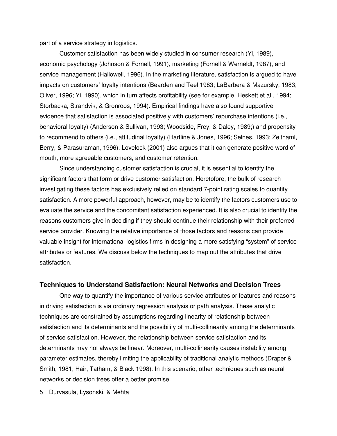part of a service strategy in logistics.

Customer satisfaction has been widely studied in consumer research (Yi, 1989), economic psychology (Johnson & Fornell, 1991), marketing (Fornell & Werneldt, 1987), and service management (Hallowell, 1996). In the marketing literature, satisfaction is argued to have impacts on customers' loyalty intentions (Bearden and Teel 1983; LaBarbera & Mazursky, 1983; Oliver, 1996; Yi, 1990), which in turn affects profitability (see for example, Heskett et al., 1994; Storbacka, Strandvik, & Gronroos, 1994). Empirical findings have also found supportive evidence that satisfaction is associated positively with customers' repurchase intentions (i.e., behavioral loyalty) (Anderson & Sullivan, 1993; Woodside, Frey, & Daley, 1989;) and propensity to recommend to others (i.e., attitudinal loyalty) (Hartline & Jones, 1996; Selnes, 1993; Zeithaml, Berry, & Parasuraman, 1996). Lovelock (2001) also argues that it can generate positive word of mouth, more agreeable customers, and customer retention.

Since understanding customer satisfaction is crucial, it is essential to identify the significant factors that form or drive customer satisfaction. Heretofore, the bulk of research investigating these factors has exclusively relied on standard 7-point rating scales to quantify satisfaction. A more powerful approach, however, may be to identify the factors customers use to evaluate the service and the concomitant satisfaction experienced. It is also crucial to identify the reasons customers give in deciding if they should continue their relationship with their preferred service provider. Knowing the relative importance of those factors and reasons can provide valuable insight for international logistics firms in designing a more satisfying "system" of service attributes or features. We discuss below the techniques to map out the attributes that drive satisfaction.

#### **Techniques to Understand Satisfaction: Neural Networks and Decision Trees**

One way to quantify the importance of various service attributes or features and reasons in driving satisfaction is via ordinary regression analysis or path analysis. These analytic techniques are constrained by assumptions regarding linearity of relationship between satisfaction and its determinants and the possibility of multi-collinearity among the determinants of service satisfaction. However, the relationship between service satisfaction and its determinants may not always be linear. Moreover, multi-collinearity causes instability among parameter estimates, thereby limiting the applicability of traditional analytic methods (Draper & Smith, 1981; Hair, Tatham, & Black 1998). In this scenario, other techniques such as neural networks or decision trees offer a better promise.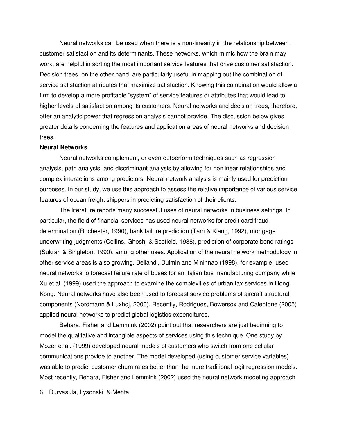Neural networks can be used when there is a non-linearity in the relationship between customer satisfaction and its determinants. These networks, which mimic how the brain may work, are helpful in sorting the most important service features that drive customer satisfaction. Decision trees, on the other hand, are particularly useful in mapping out the combination of service satisfaction attributes that maximize satisfaction. Knowing this combination would allow a firm to develop a more profitable "system" of service features or attributes that would lead to higher levels of satisfaction among its customers. Neural networks and decision trees, therefore, offer an analytic power that regression analysis cannot provide. The discussion below gives greater details concerning the features and application areas of neural networks and decision trees.

#### **Neural Networks**

Neural networks complement, or even outperform techniques such as regression analysis, path analysis, and discriminant analysis by allowing for nonlinear relationships and complex interactions among predictors. Neural network analysis is mainly used for prediction purposes. In our study, we use this approach to assess the relative importance of various service features of ocean freight shippers in predicting satisfaction of their clients.

The literature reports many successful uses of neural networks in business settings. In particular, the field of financial services has used neural networks for credit card fraud determination (Rochester, 1990), bank failure prediction (Tam & Kiang, 1992), mortgage underwriting judgments (Collins, Ghosh, & Scofield, 1988), prediction of corporate bond ratings (Sukran & Singleton, 1990), among other uses. Application of the neural network methodology in other service areas is also growing. Bellandi, Dulmin and Mininnao (1998), for example, used neural networks to forecast failure rate of buses for an Italian bus manufacturing company while Xu et al. (1999) used the approach to examine the complexities of urban tax services in Hong Kong. Neural networks have also been used to forecast service problems of aircraft structural components (Nordmann & Luxhoj, 2000). Recently, Rodrigues, Bowersox and Calentone (2005) applied neural networks to predict global logistics expenditures.

Behara, Fisher and Lemmink (2002) point out that researchers are just beginning to model the qualitative and intangible aspects of services using this technique. One study by Mozer et al. (1999) developed neural models of customers who switch from one cellular communications provide to another. The model developed (using customer service variables) was able to predict customer churn rates better than the more traditional logit regression models. Most recently, Behara, Fisher and Lemmink (2002) used the neural network modeling approach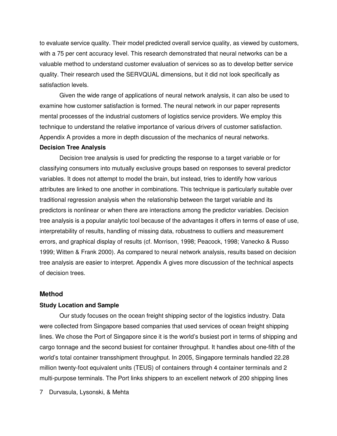to evaluate service quality. Their model predicted overall service quality, as viewed by customers, with a 75 per cent accuracy level. This research demonstrated that neural networks can be a valuable method to understand customer evaluation of services so as to develop better service quality. Their research used the SERVQUAL dimensions, but it did not look specifically as satisfaction levels.

Given the wide range of applications of neural network analysis, it can also be used to examine how customer satisfaction is formed. The neural network in our paper represents mental processes of the industrial customers of logistics service providers. We employ this technique to understand the relative importance of various drivers of customer satisfaction. Appendix A provides a more in depth discussion of the mechanics of neural networks.

#### **Decision Tree Analysis**

Decision tree analysis is used for predicting the response to a target variable or for classifying consumers into mutually exclusive groups based on responses to several predictor variables. It does not attempt to model the brain, but instead, tries to identify how various attributes are linked to one another in combinations. This technique is particularly suitable over traditional regression analysis when the relationship between the target variable and its predictors is nonlinear or when there are interactions among the predictor variables. Decision tree analysis is a popular analytic tool because of the advantages it offers in terms of ease of use, interpretability of results, handling of missing data, robustness to outliers and measurement errors, and graphical display of results (cf. Morrison, 1998; Peacock, 1998; Vanecko & Russo 1999; Witten & Frank 2000). As compared to neural network analysis, results based on decision tree analysis are easier to interpret. Appendix A gives more discussion of the technical aspects of decision trees.

#### **Method**

#### **Study Location and Sample**

Our study focuses on the ocean freight shipping sector of the logistics industry. Data were collected from Singapore based companies that used services of ocean freight shipping lines. We chose the Port of Singapore since it is the world's busiest port in terms of shipping and cargo tonnage and the second busiest for container throughput. It handles about one-fifth of the world's total container transshipment throughput. In 2005, Singapore terminals handled 22.28 million twenty-foot equivalent units (TEUS) of containers through 4 container terminals and 2 multi-purpose terminals. The Port links shippers to an excellent network of 200 shipping lines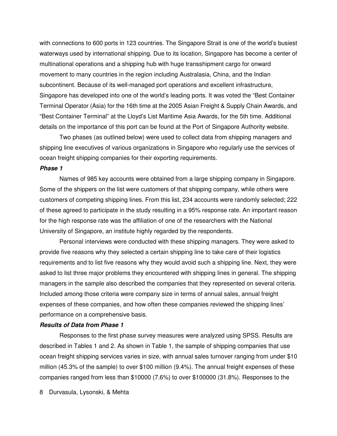with connections to 600 ports in 123 countries. The Singapore Strait is one of the world's busiest waterways used by international shipping. Due to its location, Singapore has become a center of multinational operations and a shipping hub with huge transshipment cargo for onward movement to many countries in the region including Australasia, China, and the Indian subcontinent. Because of its well-managed port operations and excellent infrastructure, Singapore has developed into one of the world's leading ports. It was voted the "Best Container Terminal Operator (Asia) for the 16th time at the 2005 Asian Freight & Supply Chain Awards, and "Best Container Terminal" at the Lloyd's List Maritime Asia Awards, for the 5th time. Additional details on the importance of this port can be found at the Port of Singapore Authority website.

Two phases (as outlined below) were used to collect data from shipping managers and shipping line executives of various organizations in Singapore who regularly use the services of ocean freight shipping companies for their exporting requirements.

#### **Phase 1**

Names of 985 key accounts were obtained from a large shipping company in Singapore. Some of the shippers on the list were customers of that shipping company, while others were customers of competing shipping lines. From this list, 234 accounts were randomly selected; 222 of these agreed to participate in the study resulting in a 95% response rate. An important reason for the high response rate was the affiliation of one of the researchers with the National University of Singapore, an institute highly regarded by the respondents.

Personal interviews were conducted with these shipping managers. They were asked to provide five reasons why they selected a certain shipping line to take care of their logistics requirements and to list five reasons why they would avoid such a shipping line. Next, they were asked to list three major problems they encountered with shipping lines in general. The shipping managers in the sample also described the companies that they represented on several criteria. Included among those criteria were company size in terms of annual sales, annual freight expenses of these companies, and how often these companies reviewed the shipping lines' performance on a comprehensive basis.

#### **Results of Data from Phase 1**

Responses to the first phase survey measures were analyzed using SPSS. Results are described in Tables 1 and 2. As shown in Table 1, the sample of shipping companies that use ocean freight shipping services varies in size, with annual sales turnover ranging from under \$10 million (45.3% of the sample) to over \$100 million (9.4%). The annual freight expenses of these companies ranged from less than \$10000 (7.6%) to over \$100000 (31.8%). Responses to the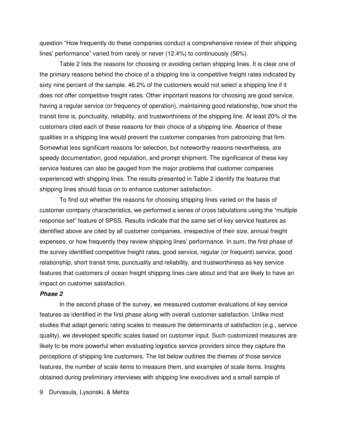question "How frequently do these companies conduct a comprehensive review of their shipping lines' performance" varied from rarely or never (12.4%) to continuously (56%).

Table 2 lists the reasons for choosing or avoiding certain shipping lines. It is clear one of the primary reasons behind the choice of a shipping line is competitive freight rates indicated by sixty nine percent of the sample. 46.2% of the customers would not select a shipping line if it does not offer competitive freight rates. Other important reasons for choosing are good service, having a regular service (or frequency of operation), maintaining good relationship, how short the transit time is, punctuality, reliability, and trustworthiness of the shipping line. At least 20% of the customers cited each of these reasons for their choice of a shipping line. Absence of these qualities in a shipping line would prevent the customer companies from patronizing that firm. Somewhat less significant reasons for selection, but noteworthy reasons nevertheless, are speedy documentation, good reputation, and prompt shipment. The significance of these key service features can also be gauged from the major problems that customer companies experienced with shipping lines. The results presented in Table 2 identify the features that shipping lines should focus on to enhance customer satisfaction.

To find out whether the reasons for choosing shipping lines varied on the basis of customer company characteristics, we performed a series of cross tabulations using the "multiple response set" feature of SPSS. Results indicate that the same set of key service features as identified above are cited by all customer companies, irrespective of their size, annual freight expenses, or how frequently they review shipping lines' performance. In sum, the first phase of the survey identified competitive freight rates, good service, regular (or frequent) service, good relationship, short transit time, punctuality and reliability, and trustworthiness as key service features that customers of ocean freight shipping lines care about and that are likely to have an impact on customer satisfaction.

#### **Phase 2**

In the second phase of the survey, we measured customer evaluations of key service features as identified in the first phase along with overall customer satisfaction. Unlike most studies that adapt generic rating scales to measure the determinants of satisfaction (e.g., service quality), we developed specific scales based on customer input. Such customized measures are likely to be more powerful when evaluating logistics service providers since they capture the perceptions of shipping line customers. The list below outlines the themes of those service features, the number of scale items to measure them, and examples of scale items. Insights obtained during preliminary interviews with shipping line executives and a small sample of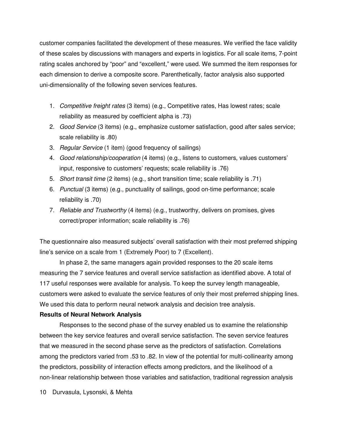customer companies facilitated the development of these measures. We verified the face validity of these scales by discussions with managers and experts in logistics. For all scale items, 7-point rating scales anchored by "poor" and "excellent," were used. We summed the item responses for each dimension to derive a composite score. Parenthetically, factor analysis also supported uni-dimensionality of the following seven services features.

- 1. Competitive freight rates (3 items) (e.g., Competitive rates, Has lowest rates; scale reliability as measured by coefficient alpha is .73)
- 2. Good Service (3 items) (e.g., emphasize customer satisfaction, good after sales service; scale reliability is .80)
- 3. Regular Service (1 item) (good frequency of sailings)
- 4. Good relationship/cooperation (4 items) (e.g., listens to customers, values customers' input, responsive to customers' requests; scale reliability is .76)
- 5. Short transit time (2 items) (e.g., short transition time; scale reliability is .71)
- 6. Punctual (3 items) (e.g., punctuality of sailings, good on-time performance; scale reliability is .70)
- 7. Reliable and Trustworthy (4 items) (e.g., trustworthy, delivers on promises, gives correct/proper information; scale reliability is .76)

The questionnaire also measured subjects' overall satisfaction with their most preferred shipping line's service on a scale from 1 (Extremely Poor) to 7 (Excellent).

In phase 2, the same managers again provided responses to the 20 scale items measuring the 7 service features and overall service satisfaction as identified above. A total of 117 useful responses were available for analysis. To keep the survey length manageable, customers were asked to evaluate the service features of only their most preferred shipping lines. We used this data to perform neural network analysis and decision tree analysis.

## **Results of Neural Network Analysis**

Responses to the second phase of the survey enabled us to examine the relationship between the key service features and overall service satisfaction. The seven service features that we measured in the second phase serve as the predictors of satisfaction. Correlations among the predictors varied from .53 to .82. In view of the potential for multi-collinearity among the predictors, possibility of interaction effects among predictors, and the likelihood of a non-linear relationship between those variables and satisfaction, traditional regression analysis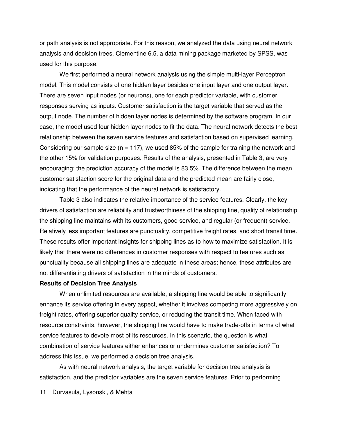or path analysis is not appropriate. For this reason, we analyzed the data using neural network analysis and decision trees. Clementine 6.5, a data mining package marketed by SPSS, was used for this purpose.

We first performed a neural network analysis using the simple multi-layer Perceptron model. This model consists of one hidden layer besides one input layer and one output layer. There are seven input nodes (or neurons), one for each predictor variable, with customer responses serving as inputs. Customer satisfaction is the target variable that served as the output node. The number of hidden layer nodes is determined by the software program. In our case, the model used four hidden layer nodes to fit the data. The neural network detects the best relationship between the seven service features and satisfaction based on supervised learning. Considering our sample size ( $n = 117$ ), we used 85% of the sample for training the network and the other 15% for validation purposes. Results of the analysis, presented in Table 3, are very encouraging; the prediction accuracy of the model is 83.5%. The difference between the mean customer satisfaction score for the original data and the predicted mean are fairly close, indicating that the performance of the neural network is satisfactory.

Table 3 also indicates the relative importance of the service features. Clearly, the key drivers of satisfaction are reliability and trustworthiness of the shipping line, quality of relationship the shipping line maintains with its customers, good service, and regular (or frequent) service. Relatively less important features are punctuality, competitive freight rates, and short transit time. These results offer important insights for shipping lines as to how to maximize satisfaction. It is likely that there were no differences in customer responses with respect to features such as punctuality because all shipping lines are adequate in these areas; hence, these attributes are not differentiating drivers of satisfaction in the minds of customers.

#### **Results of Decision Tree Analysis**

When unlimited resources are available, a shipping line would be able to significantly enhance its service offering in every aspect, whether it involves competing more aggressively on freight rates, offering superior quality service, or reducing the transit time. When faced with resource constraints, however, the shipping line would have to make trade-offs in terms of what service features to devote most of its resources. In this scenario, the question is what combination of service features either enhances or undermines customer satisfaction? To address this issue, we performed a decision tree analysis.

As with neural network analysis, the target variable for decision tree analysis is satisfaction, and the predictor variables are the seven service features. Prior to performing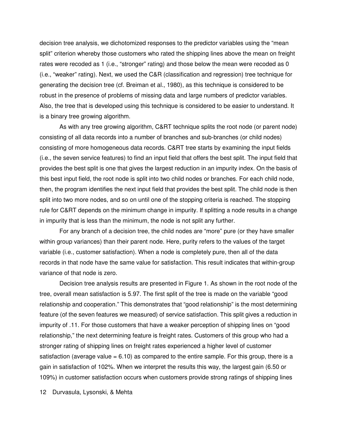decision tree analysis, we dichotomized responses to the predictor variables using the "mean split" criterion whereby those customers who rated the shipping lines above the mean on freight rates were recoded as 1 (i.e., "stronger" rating) and those below the mean were recoded as 0 (i.e., "weaker" rating). Next, we used the C&R (classification and regression) tree technique for generating the decision tree (cf. Breiman et al., 1980), as this technique is considered to be robust in the presence of problems of missing data and large numbers of predictor variables. Also, the tree that is developed using this technique is considered to be easier to understand. It is a binary tree growing algorithm.

As with any tree growing algorithm, C&RT technique splits the root node (or parent node) consisting of all data records into a number of branches and sub-branches (or child nodes) consisting of more homogeneous data records. C&RT tree starts by examining the input fields (i.e., the seven service features) to find an input field that offers the best split. The input field that provides the best split is one that gives the largest reduction in an impurity index. On the basis of this best input field, the root node is split into two child nodes or branches. For each child node, then, the program identifies the next input field that provides the best split. The child node is then split into two more nodes, and so on until one of the stopping criteria is reached. The stopping rule for C&RT depends on the minimum change in impurity. If splitting a node results in a change in impurity that is less than the minimum, the node is not split any further.

For any branch of a decision tree, the child nodes are "more" pure (or they have smaller within group variances) than their parent node. Here, purity refers to the values of the target variable (i.e., customer satisfaction). When a node is completely pure, then all of the data records in that node have the same value for satisfaction. This result indicates that within-group variance of that node is zero.

Decision tree analysis results are presented in Figure 1. As shown in the root node of the tree, overall mean satisfaction is 5.97. The first split of the tree is made on the variable "good relationship and cooperation." This demonstrates that "good relationship" is the most determining feature (of the seven features we measured) of service satisfaction. This split gives a reduction in impurity of .11. For those customers that have a weaker perception of shipping lines on "good relationship," the next determining feature is freight rates. Customers of this group who had a stronger rating of shipping lines on freight rates experienced a higher level of customer satisfaction (average value  $= 6.10$ ) as compared to the entire sample. For this group, there is a gain in satisfaction of 102%. When we interpret the results this way, the largest gain (6.50 or 109%) in customer satisfaction occurs when customers provide strong ratings of shipping lines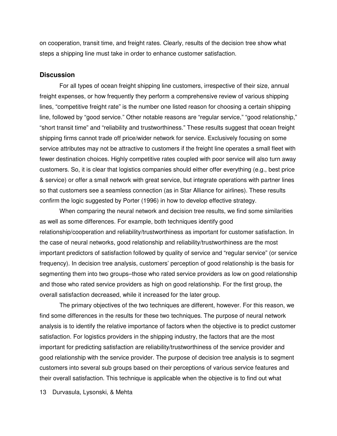on cooperation, transit time, and freight rates. Clearly, results of the decision tree show what steps a shipping line must take in order to enhance customer satisfaction.

#### **Discussion**

For all types of ocean freight shipping line customers, irrespective of their size, annual freight expenses, or how frequently they perform a comprehensive review of various shipping lines, "competitive freight rate" is the number one listed reason for choosing a certain shipping line, followed by "good service." Other notable reasons are "regular service," "good relationship," "short transit time" and "reliability and trustworthiness." These results suggest that ocean freight shipping firms cannot trade off price/wider network for service. Exclusively focusing on some service attributes may not be attractive to customers if the freight line operates a small fleet with fewer destination choices. Highly competitive rates coupled with poor service will also turn away customers. So, it is clear that logistics companies should either offer everything (e.g., best price & service) or offer a small network with great service, but integrate operations with partner lines so that customers see a seamless connection (as in Star Alliance for airlines). These results confirm the logic suggested by Porter (1996) in how to develop effective strategy.

When comparing the neural network and decision tree results, we find some similarities as well as some differences. For example, both techniques identify good relationship/cooperation and reliability/trustworthiness as important for customer satisfaction. In the case of neural networks, good relationship and reliability/trustworthiness are the most important predictors of satisfaction followed by quality of service and "regular service" (or service frequency). In decision tree analysis, customers' perception of good relationship is the basis for segmenting them into two groups–those who rated service providers as low on good relationship and those who rated service providers as high on good relationship. For the first group, the overall satisfaction decreased, while it increased for the later group.

The primary objectives of the two techniques are different, however. For this reason, we find some differences in the results for these two techniques. The purpose of neural network analysis is to identify the relative importance of factors when the objective is to predict customer satisfaction. For logistics providers in the shipping industry, the factors that are the most important for predicting satisfaction are reliability/trustworthiness of the service provider and good relationship with the service provider. The purpose of decision tree analysis is to segment customers into several sub groups based on their perceptions of various service features and their overall satisfaction. This technique is applicable when the objective is to find out what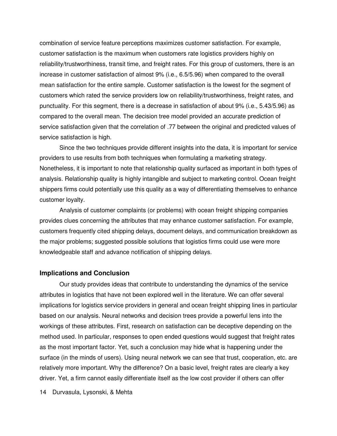combination of service feature perceptions maximizes customer satisfaction. For example, customer satisfaction is the maximum when customers rate logistics providers highly on reliability/trustworthiness, transit time, and freight rates. For this group of customers, there is an increase in customer satisfaction of almost 9% (i.e., 6.5/5.96) when compared to the overall mean satisfaction for the entire sample. Customer satisfaction is the lowest for the segment of customers which rated the service providers low on reliability/trustworthiness, freight rates, and punctuality. For this segment, there is a decrease in satisfaction of about 9% (i.e., 5.43/5.96) as compared to the overall mean. The decision tree model provided an accurate prediction of service satisfaction given that the correlation of .77 between the original and predicted values of service satisfaction is high.

Since the two techniques provide different insights into the data, it is important for service providers to use results from both techniques when formulating a marketing strategy. Nonetheless, it is important to note that relationship quality surfaced as important in both types of analysis. Relationship quality is highly intangible and subject to marketing control. Ocean freight shippers firms could potentially use this quality as a way of differentiating themselves to enhance customer loyalty.

Analysis of customer complaints (or problems) with ocean freight shipping companies provides clues concerning the attributes that may enhance customer satisfaction. For example, customers frequently cited shipping delays, document delays, and communication breakdown as the major problems; suggested possible solutions that logistics firms could use were more knowledgeable staff and advance notification of shipping delays.

#### **Implications and Conclusion**

Our study provides ideas that contribute to understanding the dynamics of the service attributes in logistics that have not been explored well in the literature. We can offer several implications for logistics service providers in general and ocean freight shipping lines in particular based on our analysis. Neural networks and decision trees provide a powerful lens into the workings of these attributes. First, research on satisfaction can be deceptive depending on the method used. In particular, responses to open ended questions would suggest that freight rates as the most important factor. Yet, such a conclusion may hide what is happening under the surface (in the minds of users). Using neural network we can see that trust, cooperation, etc. are relatively more important. Why the difference? On a basic level, freight rates are clearly a key driver. Yet, a firm cannot easily differentiate itself as the low cost provider if others can offer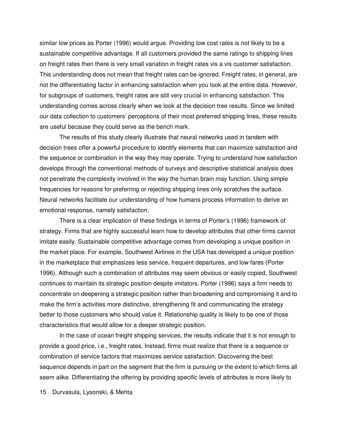similar low prices as Porter (1996) would argue. Providing low cost rates is not likely to be a sustainable competitive advantage. If all customers provided the same ratings to shipping lines on freight rates then there is very small variation in freight rates vis a vis customer satisfaction. This understanding does not mean that freight rates can be ignored. Freight rates, in general, are not the differentiating factor in enhancing satisfaction when you look at the entire data. However, for subgroups of customers, freight rates are still very crucial in enhancing satisfaction. This understanding comes across clearly when we look at the decision tree results. Since we limited our data collection to customers' perceptions of their most preferred shipping lines, these results are useful because they could serve as the bench mark.

The results of this study clearly illustrate that neural networks used in tandem with decision trees offer a powerful procedure to identify elements that can maximize satisfaction and the sequence or combination in the way they may operate. Trying to understand how satisfaction develops through the conventional methods of surveys and descriptive statistical analysis does not penetrate the complexity involved in the way the human brain may function. Using simple frequencies for reasons for preferring or rejecting shipping lines only scratches the surface. Neural networks facilitate our understanding of how humans process information to derive an emotional response, namely satisfaction.

There is a clear implication of these findings in terms of Porter's (1996) framework of strategy. Firms that are highly successful learn how to develop attributes that other firms cannot imitate easily. Sustainable competitive advantage comes from developing a unique position in the market place. For example, Southwest Airlines in the USA has developed a unique position in the marketplace that emphasizes less service, frequent departures, and low fares (Porter 1996). Although such a combination of attributes may seem obvious or easily copied, Southwest continues to maintain its strategic position despite imitators. Porter (1996) says a firm needs to concentrate on deepening a strategic position rather than broadening and compromising it and to make the firm's activities more distinctive, strengthening fit and communicating the strategy better to those customers who should value it. Relationship quality is likely to be one of those characteristics that would allow for a deeper strategic position.

In the case of ocean freight shipping services, the results indicate that it is not enough to provide a good price, i.e., freight rates. Instead, firms must realize that there is a sequence or combination of service factors that maximizes service satisfaction. Discovering the best sequence depends in part on the segment that the firm is pursuing or the extent to which firms all seem alike. Differentiating the offering by providing specific levels of attributes is more likely to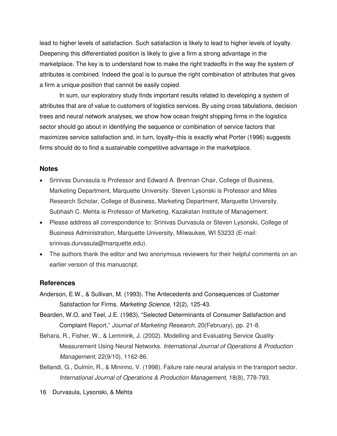lead to higher levels of satisfaction. Such satisfaction is likely to lead to higher levels of loyalty. Deepening this differentiated position is likely to give a firm a strong advantage in the marketplace. The key is to understand how to make the right tradeoffs in the way the system of attributes is combined. Indeed the goal is to pursue the right combination of attributes that gives a firm a unique position that cannot be easily copied.

In sum, our exploratory study finds important results related to developing a system of attributes that are of value to customers of logistics services. By using cross tabulations, decision trees and neural network analyses, we show how ocean freight shipping firms in the logistics sector should go about in identifying the sequence or combination of service factors that maximizes service satisfaction and, in turn, loyalty–this is exactly what Porter (1996) suggests firms should do to find a sustainable competitive advantage in the marketplace.

#### **Notes**

- Srinivas Durvasula is Professor and Edward A. Brennan Chair, College of Business, Marketing Department, Marquette University. Steven Lysonski is Professor and Miles Research Scholar, College of Business, Marketing Department, Marquette University. Subhash C. Mehta is Professor of Marketing, Kazakstan Institute of Management.
- Please address all correspondence to: Srinivas Durvasula or Steven Lysonski, College of Business Administration, Marquette University, Milwaukee, WI 53233 (E-mail: srinivas.durvasula@marquette.edu).
- The authors thank the editor and two anonymous reviewers for their helpful comments on an earlier version of this manuscript.

#### **References**

- Anderson, E.W., & Sullivan, M. (1993). The Antecedents and Consequences of Customer Satisfaction for Firms. Marketing Science, 12(2), 125-43.
- Bearden, W.O. and Teel, J.E. (1983), "Selected Determinants of Consumer Satisfaction and Complaint Report," Journal of Marketing Research, 20(February), pp. 21-8.
- Behara, R., Fisher, W., & Lemmink, J. (2002). Modelling and Evaluating Service Quality Measurement Using Neural Networks. International Journal of Operations & Production Management, 22(9/10), 1162-86.
- Bellandi, G., Dulmin, R., & Mininno, V. (1998). Failure rate neural analysis in the transport sector. International Journal of Operations & Production Management, 18(8), 778-793.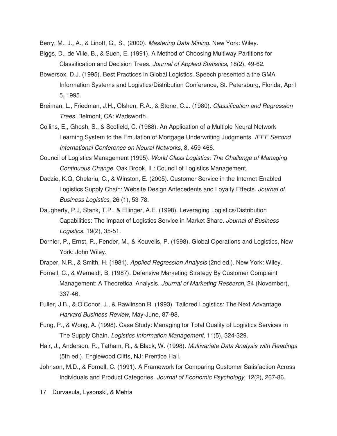Berry, M., J., A., & Linoff, G., S., (2000). *Mastering Data Mining*. New York: Wiley.

- Biggs, D., de Ville, B., & Suen, E. (1991). A Method of Choosing Multiway Partitions for Classification and Decision Trees. Journal of Applied Statistics, 18(2), 49-62.
- Bowersox, D.J. (1995). Best Practices in Global Logistics. Speech presented a the GMA Information Systems and Logistics/Distribution Conference, St. Petersburg, Florida, April 5, 1995.
- Breiman, L., Friedman, J.H., Olshen, R.A., & Stone, C.J. (1980). Classification and Regression Trees. Belmont, CA: Wadsworth.
- Collins, E., Ghosh, S., & Scofield, C. (1988). An Application of a Multiple Neural Network Learning System to the Emulation of Mortgage Underwriting Judgments. IEEE Second International Conference on Neural Networks, 8, 459-466.
- Council of Logistics Management (1995). World Class Logistics: The Challenge of Managing Continuous Change. Oak Brook, IL: Council of Logistics Management.
- Dadzie, K.Q, Chelariu, C., & Winston, E. (2005). Customer Service in the Internet-Enabled Logistics Supply Chain: Website Design Antecedents and Loyalty Effects. Journal of Business Logistics, 26 (1), 53-78.
- Daugherty, P.J, Stank, T.P., & Ellinger, A.E. (1998). Leveraging Logistics/Distribution Capabilities: The Impact of Logistics Service in Market Share. Journal of Business Logistics, 19(2), 35-51.
- Dornier, P., Ernst, R., Fender, M., & Kouvelis, P. (1998). Global Operations and Logistics, New York: John Wiley.
- Draper, N.R., & Smith, H. (1981). Applied Regression Analysis (2nd ed.). New York: Wiley.
- Fornell, C., & Werneldt, B. (1987). Defensive Marketing Strategy By Customer Complaint Management: A Theoretical Analysis. Journal of Marketing Research, 24 (November), 337-46.
- Fuller, J.B., & O'Conor, J., & Rawlinson R. (1993). Tailored Logistics: The Next Advantage. Harvard Business Review, May-June, 87-98.
- Fung, P., & Wong, A. (1998). Case Study: Managing for Total Quality of Logistics Services in The Supply Chain. Logistics Information Management, 11(5), 324-329.
- Hair, J., Anderson, R., Tatham, R., & Black, W. (1998). Multivariate Data Analysis with Readings (5th ed.). Englewood Cliffs, NJ: Prentice Hall.
- Johnson, M.D., & Fornell, C. (1991). A Framework for Comparing Customer Satisfaction Across Individuals and Product Categories. Journal of Economic Psychology, 12(2), 267-86.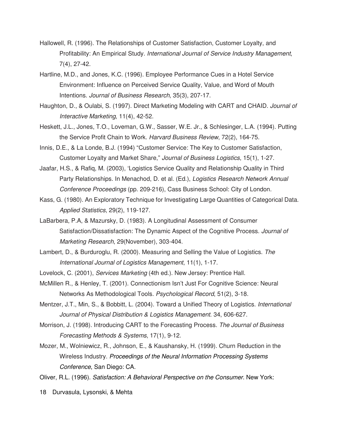- Hallowell, R. (1996). The Relationships of Customer Satisfaction, Customer Loyalty, and Profitability: An Empirical Study. International Journal of Service Industry Management, 7(4), 27-42.
- Hartline, M.D., and Jones, K.C. (1996). Employee Performance Cues in a Hotel Service Environment: Influence on Perceived Service Quality, Value, and Word of Mouth Intentions. Journal of Business Research, 35(3), 207-17.
- Haughton, D., & Oulabi, S. (1997). Direct Marketing Modeling with CART and CHAID. Journal of Interactive Marketing, 11(4), 42-52.
- Heskett, J.L., Jones, T.O., Loveman, G.W., Sasser, W.E. Jr., & Schlesinger, L.A. (1994). Putting the Service Profit Chain to Work. Harvard Business Review, 72(2), 164-75.
- Innis, D.E., & La Londe, B.J. (1994) "Customer Service: The Key to Customer Satisfaction, Customer Loyalty and Market Share," Journal of Business Logistics, 15(1), 1-27.
- Jaafar, H.S., & Rafiq, M. (2003), 'Logistics Service Quality and Relationship Quality in Third Party Relationships. In Menachod, D. et al. (Ed.), Logistics Research Network Annual Conference Proceedings (pp. 209-216), Cass Business School: City of London.
- Kass, G. (1980). An Exploratory Technique for Investigating Large Quantities of Categorical Data. Applied Statistics, 29(2), 119-127.
- LaBarbera, P.A, & Mazursky, D. (1983). A Longitudinal Assessment of Consumer Satisfaction/Dissatisfaction: The Dynamic Aspect of the Cognitive Process. Journal of Marketing Research, 29(November), 303-404.
- Lambert, D., & Burduroglu, R. (2000). Measuring and Selling the Value of Logistics. The International Journal of Logistics Management, 11(1), 1-17.
- Lovelock, C. (2001), Services Marketing (4th ed.). New Jersey: Prentice Hall.
- McMillen R., & Henley, T. (2001). Connectionism Isn't Just For Cognitive Science: Neural Networks As Methodological Tools. Psychological Record, 51(2), 3-18.
- Mentzer, J.T., Min, S., & Bobbitt, L. (2004). Toward a Unified Theory of Logistics. International Journal of Physical Distribution & Logistics Management. 34, 606-627.
- Morrison, J. (1998). Introducing CART to the Forecasting Process. The Journal of Business Forecasting Methods & Systems, 17(1), 9-12.
- Mozer, M., Wolniewicz, R., Johnson, E., & Kaushansky, H. (1999). Churn Reduction in the Wireless Industry. Proceedings of the Neural Information Processing Systems Conference, San Diego: CA.

Oliver, R.L. (1996). Satisfaction: A Behavioral Perspective on the Consumer. New York: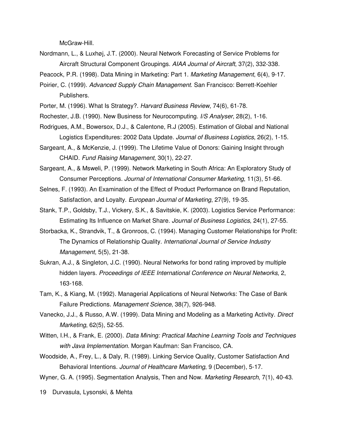McGraw-Hill.

- Nordmann, L., & Luxhøj, J.T. (2000). Neural Network Forecasting of Service Problems for Aircraft Structural Component Groupings. AIAA Journal of Aircraft, 37(2), 332-338.
- Peacock, P.R. (1998). Data Mining in Marketing: Part 1. Marketing Management, 6(4), 9-17.

Poirier, C. (1999). Advanced Supply Chain Management. San Francisco: Berrett-Koehler Publishers.

- Porter, M. (1996). What Is Strategy?. Harvard Business Review, 74(6), 61-78.
- Rochester, J.B. (1990). New Business for Neurocomputing. I/S Analyser, 28(2), 1-16.
- Rodrigues, A.M., Bowersox, D.J., & Calentone, R.J (2005). Estimation of Global and National Logistics Expenditures: 2002 Data Update. Journal of Business Logistics, 26(2), 1-15.

Sargeant, A., & McKenzie, J. (1999). The Lifetime Value of Donors: Gaining Insight through CHAID. Fund Raising Management, 30(1), 22-27.

- Sargeant, A., & Msweli, P. (1999). Network Marketing in South Africa: An Exploratory Study of Consumer Perceptions. Journal of International Consumer Marketing, 11(3), 51-66.
- Selnes, F. (1993). An Examination of the Effect of Product Performance on Brand Reputation, Satisfaction, and Loyalty. European Journal of Marketing, 27(9), 19-35.
- Stank, T.P., Goldsby, T.J., Vickery, S.K., & Savitskie, K. (2003). Logistics Service Performance: Estimating Its Influence on Market Share. Journal of Business Logistics, 24(1), 27-55.
- Storbacka, K., Strandvik, T., & Gronroos, C. (1994). Managing Customer Relationships for Profit: The Dynamics of Relationship Quality. International Journal of Service Industry Management, 5(5), 21-38.
- Sukran, A.J., & Singleton, J.C. (1990). Neural Networks for bond rating improved by multiple hidden layers. Proceedings of IEEE International Conference on Neural Networks, 2, 163-168.
- Tam, K., & Kiang, M. (1992). Managerial Applications of Neural Networks: The Case of Bank Failure Predictions. Management Science, 38(7), 926-948.
- Vanecko, J.J., & Russo, A.W. (1999). Data Mining and Modeling as a Marketing Activity. Direct Marketing, 62(5), 52-55.
- Witten, I.H., & Frank, E. (2000). Data Mining: Practical Machine Learning Tools and Techniques with Java Implementation. Morgan Kaufman: San Francisco, CA.
- Woodside, A., Frey, L., & Daly, R. (1989). Linking Service Quality, Customer Satisfaction And Behavioral Intentions. Journal of Healthcare Marketing, 9 (December), 5-17.
- Wyner, G. A. (1995). Segmentation Analysis, Then and Now. Marketing Research, 7(1), 40-43.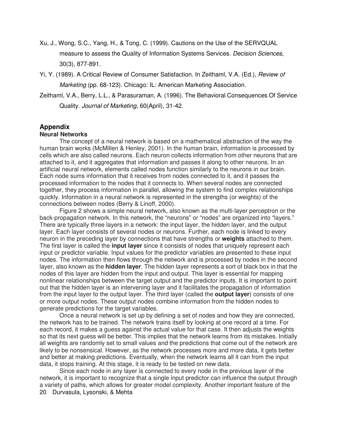- Xu, J., Wong, S.C., Yang, H., & Tong, C. (1999). Cautions on the Use of the SERVQUAL measure to assess the Quality of Information Systems Services. Decision Sciences, 30(3), 877-891.
- Yi, Y. (1989). A Critical Review of Consumer Satisfaction. In Zeithaml, V.A. (Ed.), Review of Marketing (pp. 68-123). Chicago: IL: American Marketing Association.

Zeithaml, V.A., Berry, L.L., & Parasuraman, A. (1996). The Behavioral Consequences Of Service Quality. Journal of Marketing, 60(April), 31-42.

## **Appendix**

#### **Neural Networks**

The concept of a neural network is based on a mathematical abstraction of the way the human brain works (McMillen & Henley, 2001). In the human brain, information is processed by cells which are also called neurons. Each neuron collects information from other neurons that are attached to it, and it aggregates that information and passes it along to other neurons. In an artificial neural network, elements called nodes function similarly to the neurons in our brain. Each node sums information that it receives from nodes connected to it, and it passes the processed information to the nodes that it connects to. When several nodes are connected together, they process information in parallel, allowing the system to find complex relationships quickly. Information in a neural network is represented in the strengths (or weights) of the connections between nodes (Berry & Linoff, 2000).

Figure 2 shows a simple neural network, also known as the multi-layer perceptron or the back-propagation network. In this network, the "neurons" or "nodes" are organized into "layers." There are typically three layers in a network: the input layer, the hidden layer, and the output layer. Each layer consists of several nodes or neurons. Further, each node is linked to every neuron in the preceding layer by connections that have strengths or **weights** attached to them. The first layer is called the **input layer** since it consists of nodes that uniquely represent each input or predictor variable. Input values for the predictor variables are presented to these input nodes. The information then flows through the network and is processed by nodes in the second layer, also known as the **hidden layer**. The hidden layer represents a sort of black box in that the nodes of this layer are hidden from the input and output. This layer is essential for mapping nonlinear relationships between the target output and the predictor inputs. It is important to point out that the hidden layer is an intervening layer and it facilitates the propagation of information from the input layer to the output layer. The third layer (called the **output layer**) consists of one or more output nodes. These output nodes combine information from the hidden nodes to generate predictions for the target variables.

Once a neural network is set up by defining a set of nodes and how they are connected, the network has to be trained. The network trains itself by looking at one record at a time. For each record, it makes a guess against the actual value for that case. It then adjusts the weights so that its next guess will be better. This implies that the network learns from its mistakes. Initially all weights are randomly set to small values and the predictions that come out of the network are likely to be nonsensical. However, as the network processes more and more data, it gets better and better at making predictions. Eventually, when the network learns all it can from the input data, it stops training. At this stage, it is ready to be tested on new data.

20 Durvasula, Lysonski, & Mehta Since each node in any layer is connected to every node in the previous layer of the network, it is important to recognize that a single input predictor can influence the output through a variety of paths, which allows for greater model complexity. Another important feature of the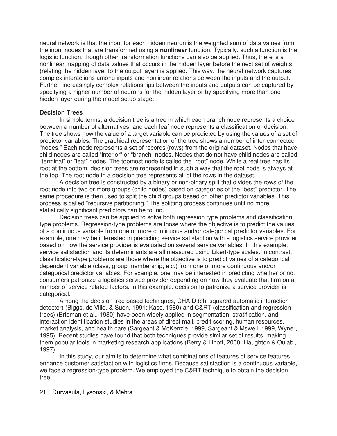neural network is that the input for each hidden neuron is the weighted sum of data values from the input nodes that are transformed using a **nonlinear** function. Typically, such a function is the logistic function, though other transformation functions can also be applied. Thus, there is a nonlinear mapping of data values that occurs in the hidden layer before the next set of weights (relating the hidden layer to the output layer) is applied. This way, the neural network captures complex interactions among inputs and nonlinear relations between the inputs and the output. Further, increasingly complex relationships between the inputs and outputs can be captured by specifying a higher number of neurons for the hidden layer or by specifying more than one hidden layer during the model setup stage.

#### **Decision Trees**

In simple terms, a decision tree is a tree in which each branch node represents a choice between a number of alternatives, and each leaf node represents a classification or decision. The tree shows how the value of a target variable can be predicted by using the values of a set of predictor variables. The graphical representation of the tree shows a number of inter-connected "nodes." Each node represents a set of records (rows) from the original dataset. Nodes that have child nodes are called "interior" or "branch" nodes. Nodes that do not have child nodes are called "terminal" or "leaf" nodes. The topmost node is called the "root" node. While a real tree has its root at the bottom, decision trees are represented in such a way that the root node is always at the top. The root node in a decision tree represents all of the rows in the dataset.

A decision tree is constructed by a binary or non-binary split that divides the rows of the root node into two or more groups (child nodes) based on categories of the "best" predictor. The same procedure is then used to split the child groups based on other predictor variables. This process is called "recursive partitioning." The splitting process continues until no more statistically significant predictors can be found.

Decision trees can be applied to solve both regression type problems and classification type problems. Regression-type problems are those where the objective is to predict the values of a continuous variable from one or more continuous and/or categorical predictor variables. For example, one may be interested in predicting service satisfaction with a logistics service provider based on how the service provider is evaluated on several service variables. In this example, service satisfaction and its determinants are all measured using Likert-type scales. In contrast, classification-type problems are those where the objective is to predict values of a categorical dependent variable (class, group membership, etc.) from one or more continuous and/or categorical predictor variables. For example, one may be interested in predicting whether or not consumers patronize a logistics service provider depending on how they evaluate that firm on a number of service related factors. In this example, decision to patronize a service provider is categorical.

Among the decision tree based techniques, CHAID (chi-squared automatic interaction detector) (Biggs, de Ville, & Suen, 1991; Kass, 1980) and C&RT (classification and regression trees) (Brieman et al., 1980) have been widely applied in segmentation, stratification, and interaction identification studies in the areas of direct mail, credit scoring, human resources, market analysis, and health care (Sargeant & McKenzie, 1999, Sargeant & Msweli, 1999, Wyner, 1995). Recent studies have found that both techniques provide similar set of results, making them popular tools in marketing research applications (Berry & Linoff, 2000; Haughton & Oulabi, 1997).

In this study, our aim is to determine what combinations of features of service features enhance customer satisfaction with logistics firms. Because satisfaction is a continuous variable, we face a regression-type problem. We employed the C&RT technique to obtain the decision tree.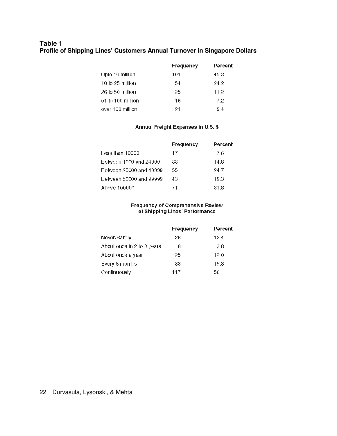## **Table 1 Profile of Shipping Lines' Customers Annual Turnover in Singapore Dollars**

|                   | Frequency | Percent |
|-------------------|-----------|---------|
| Upto 10 million   | 101       | 45.3    |
| 10 to 25 million  | 54        | 24.2    |
| 26 to 50 million  | 25        | 112     |
| 51 to 100 million | 16        | 72      |
| over 100 million  | 21        | 94      |

#### Annual Freight Expenses in U.S. \$

|                         | Frequency | Percent |
|-------------------------|-----------|---------|
| Less than 10000         | 17        | 76      |
| Between 1000 and 24999  | 33        | 14 8    |
| Between 25000 and 49999 | 55        | 24.7    |
| Between 50000 and 99999 | 43        | 193     |
| Above 100000            | 71        | 31.8    |

#### Frequency of Comprehensive Review of Shipping Lines' Performance

|                            | Frequency | Percent |
|----------------------------|-----------|---------|
| Never/Rarely               | 26        | 12.4    |
| About once in 2 to 3 years | 8         | 3.8     |
| About once a year          | 25        | 12.0    |
| Every 6 months             | 33        | 15.8    |
| Continuously               | 117       | 56      |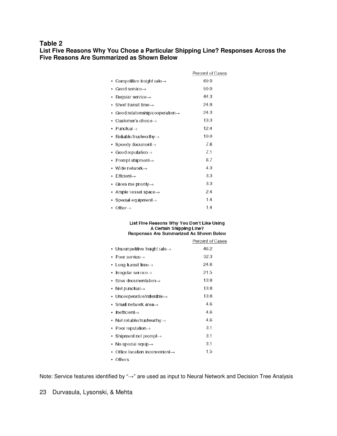## **Table 2**

## **List Five Reasons Why You Chose a Particular Shipping Line? Responses Across the Five Reasons Are Summarized as Shown Below**

|                                        | Percent of Cases |
|----------------------------------------|------------------|
| Competitive freight rate $\rightarrow$ | 69.0             |
| Good service $\rightarrow$             | 50.0             |
| Regular service $\rightarrow$          | 44.3             |
| Short transit time $\rightarrow$       | 24.8             |
| Good relationship/cooperation->        | 24.3             |
| Customer's choice $\rightarrow$        | 13.3             |
| Punctual $\rightarrow$                 | 12.4             |
| $Reliable/trustworthv \rightarrow$     | 10.0             |
| Speedy document $\rightarrow$          | 76               |
| Good reputation $\rightarrow$          | 71               |
| Prompt shipment $\rightarrow$          | 6.7              |
| Wide network $\rightarrow$             | 43               |
| $Efficient \rightarrow$<br>٠           | 33               |
| Gives me priority $\rightarrow$        | 3.3              |
| Ample vessel space $\rightarrow$       | 2.4              |
| Special equipment $\rightarrow$        | 14               |
| Other $\rightarrow$                    | 1.4              |

#### List Five Reasons Why You Don't Like Using A Certain Shipping Line? Responses Are Summarized As Shown Below

| <b>INVESTIGATION COMMUNISME AS VIRTURAL DESIGN</b> |                  |
|----------------------------------------------------|------------------|
|                                                    | Percent of Cases |
| • Uncompetitive freight rate $\rightarrow$         | 46.2             |
| Poor service $\rightarrow$                         | 32.3             |
| • Long transit time $\rightarrow$                  | 24.6             |
| Irregular service $\rightarrow$                    | 21.5             |
| • Slow documentation $\rightarrow$                 | 13.8             |
| • Not punctual $\rightarrow$                       | 13.8             |
| • Uncooperative/inflexible $\rightarrow$           | 13.8             |
| • Small network area $\rightarrow$                 | 46               |
| $Inefficient \rightarrow$                          | 4.6              |
| Not reliable/trustworthy $\rightarrow$             | 4.6              |
| Poor reputation $\rightarrow$                      | 3.1              |
| - Shipment not prompt $\rightarrow$                | 31               |
| No special equip $\rightarrow$                     | 31               |
| Office location inconvenient $\rightarrow$         | 1.5              |
| Others                                             |                  |

Note: Service features identified by "→" are used as input to Neural Network and Decision Tree Analysis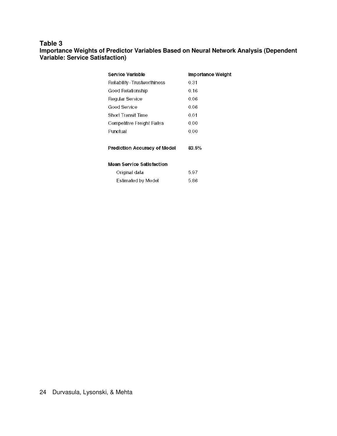## **Table 3**

**Importance Weights of Predictor Variables Based on Neural Network Analysis (Dependent Variable: Service Satisfaction)** 

| Service Variable                    | Importance Weight |
|-------------------------------------|-------------------|
| Reliability-Trustworthiness         | 0.31              |
| Good Relationship                   | 0.16              |
| Regular Service                     | 0.06              |
| Good Service                        | 0.06              |
| <b>Short Transit Time</b>           | 0.01              |
| Competitive Freight Rates           | 0.00              |
| Punctual                            | 000               |
|                                     |                   |
| <b>Prediction Accuracy of Model</b> | 83.5%             |
|                                     |                   |
| <b>Mean Service Satisfaction</b>    |                   |
| Original data                       | 597               |
| Estimated by Model                  | 5.86              |
|                                     |                   |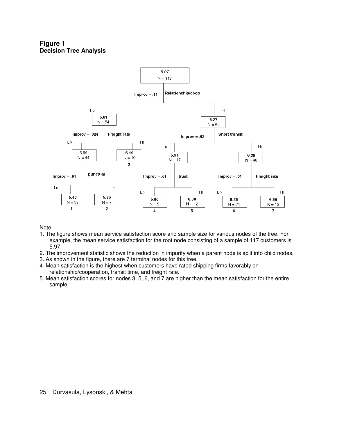**Figure 1 Decision Tree Analysis** 



Note:

- 1. The figure shows mean service satisfaction score and sample size for various nodes of the tree. For example, the mean service satisfaction for the root node consisting of a sample of 117 customers is 5.97.
- 2. The improvement statistic shows the reduction in impurity when a parent node is split into child nodes.
- 3. As shown in the figure, there are 7 terminal nodes for this tree.
- 4. Mean satisfaction is the highest when customers have rated shipping firms favorably on relationship/cooperation, transit time, and freight rate.
- 5. Mean satisfaction scores for nodes 3, 5, 6, and 7 are higher than the mean satisfaction for the entire sample.